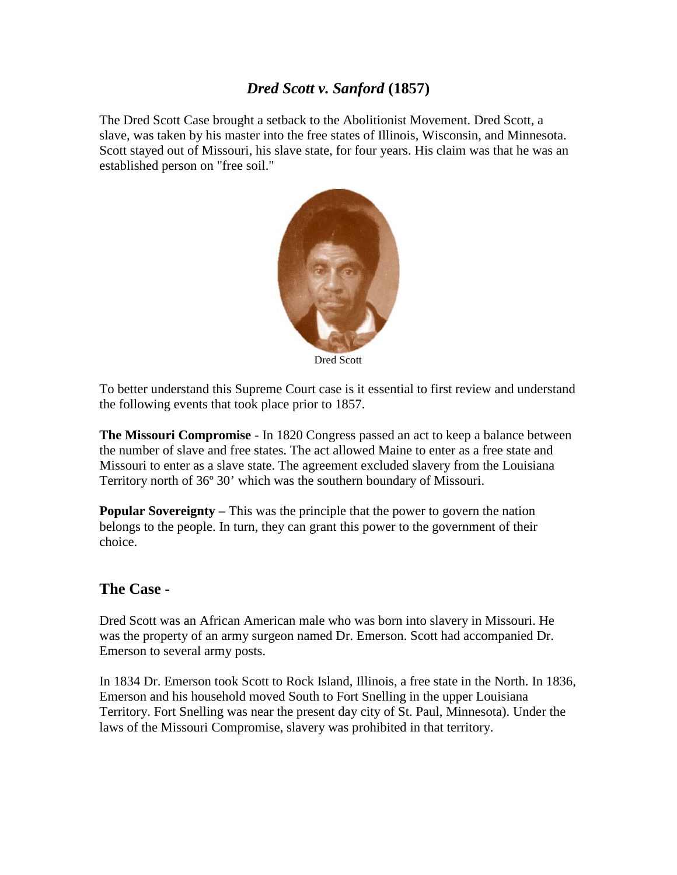## *Dred Scott v. Sanford* **(1857)**

The Dred Scott Case brought a setback to the Abolitionist Movement. Dred Scott, a slave, was taken by his master into the free states of Illinois, Wisconsin, and Minnesota. Scott stayed out of Missouri, his slave state, for four years. His claim was that he was an established person on "free soil."



Dred Scott

To better understand this Supreme Court case is it essential to first review and understand the following events that took place prior to 1857.

**The Missouri Compromise** - In 1820 Congress passed an act to keep a balance between the number of slave and free states. The act allowed Maine to enter as a free state and Missouri to enter as a slave state. The agreement excluded slavery from the Louisiana Territory north of 36º 30' which was the southern boundary of Missouri.

**Popular Sovereignty –** This was the principle that the power to govern the nation belongs to the people. In turn, they can grant this power to the government of their choice.

## **The Case -**

Dred Scott was an African American male who was born into slavery in Missouri. He was the property of an army surgeon named Dr. Emerson. Scott had accompanied Dr. Emerson to several army posts.

In 1834 Dr. Emerson took Scott to Rock Island, Illinois, a free state in the North. In 1836, Emerson and his household moved South to Fort Snelling in the upper Louisiana Territory. Fort Snelling was near the present day city of St. Paul, Minnesota). Under the laws of the Missouri Compromise, slavery was prohibited in that territory.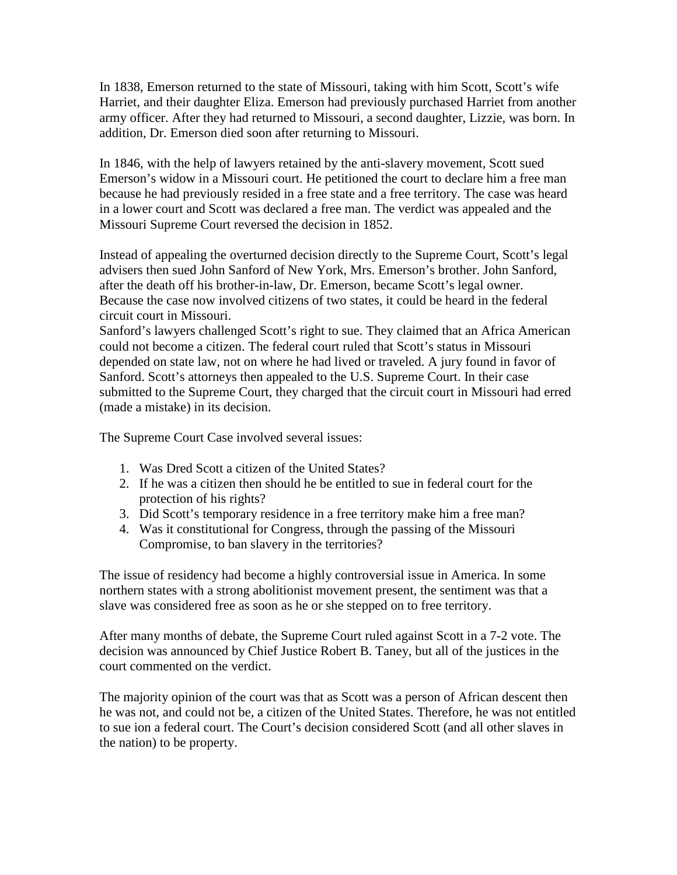In 1838, Emerson returned to the state of Missouri, taking with him Scott, Scott's wife Harriet, and their daughter Eliza. Emerson had previously purchased Harriet from another army officer. After they had returned to Missouri, a second daughter, Lizzie, was born. In addition, Dr. Emerson died soon after returning to Missouri.

In 1846, with the help of lawyers retained by the anti-slavery movement, Scott sued Emerson's widow in a Missouri court. He petitioned the court to declare him a free man because he had previously resided in a free state and a free territory. The case was heard in a lower court and Scott was declared a free man. The verdict was appealed and the Missouri Supreme Court reversed the decision in 1852.

Instead of appealing the overturned decision directly to the Supreme Court, Scott's legal advisers then sued John Sanford of New York, Mrs. Emerson's brother. John Sanford, after the death off his brother-in-law, Dr. Emerson, became Scott's legal owner. Because the case now involved citizens of two states, it could be heard in the federal circuit court in Missouri.

Sanford's lawyers challenged Scott's right to sue. They claimed that an Africa American could not become a citizen. The federal court ruled that Scott's status in Missouri depended on state law, not on where he had lived or traveled. A jury found in favor of Sanford. Scott's attorneys then appealed to the U.S. Supreme Court. In their case submitted to the Supreme Court, they charged that the circuit court in Missouri had erred (made a mistake) in its decision.

The Supreme Court Case involved several issues:

- 1. Was Dred Scott a citizen of the United States?
- 2. If he was a citizen then should he be entitled to sue in federal court for the protection of his rights?
- 3. Did Scott's temporary residence in a free territory make him a free man?
- 4. Was it constitutional for Congress, through the passing of the Missouri Compromise, to ban slavery in the territories?

The issue of residency had become a highly controversial issue in America. In some northern states with a strong abolitionist movement present, the sentiment was that a slave was considered free as soon as he or she stepped on to free territory.

After many months of debate, the Supreme Court ruled against Scott in a 7-2 vote. The decision was announced by Chief Justice Robert B. Taney, but all of the justices in the court commented on the verdict.

The majority opinion of the court was that as Scott was a person of African descent then he was not, and could not be, a citizen of the United States. Therefore, he was not entitled to sue ion a federal court. The Court's decision considered Scott (and all other slaves in the nation) to be property.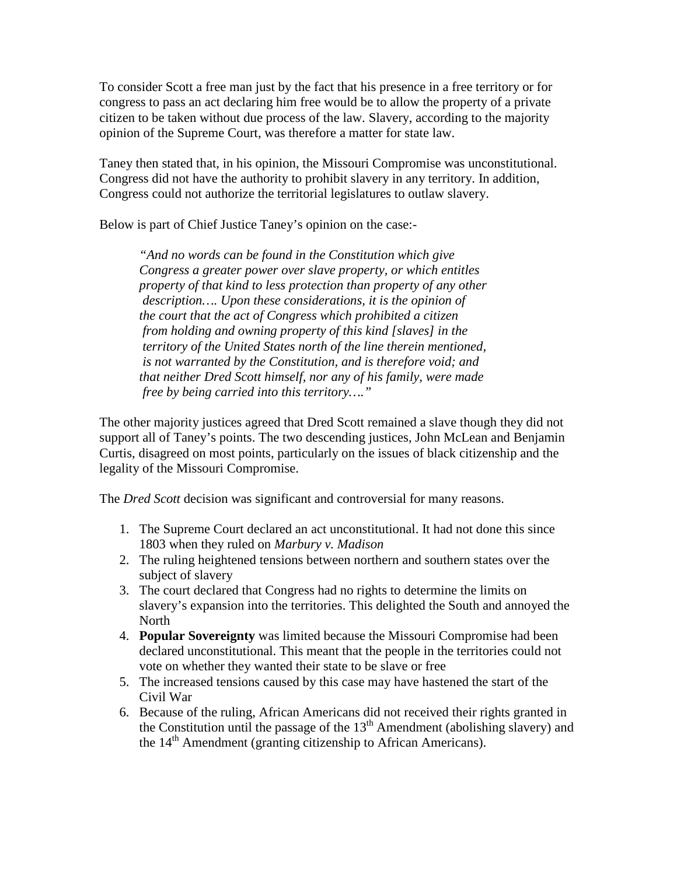To consider Scott a free man just by the fact that his presence in a free territory or for congress to pass an act declaring him free would be to allow the property of a private citizen to be taken without due process of the law. Slavery, according to the majority opinion of the Supreme Court, was therefore a matter for state law.

Taney then stated that, in his opinion, the Missouri Compromise was unconstitutional. Congress did not have the authority to prohibit slavery in any territory. In addition, Congress could not authorize the territorial legislatures to outlaw slavery.

Below is part of Chief Justice Taney's opinion on the case:-

*"And no words can be found in the Constitution which give Congress a greater power over slave property, or which entitles property of that kind to less protection than property of any other description…. Upon these considerations, it is the opinion of the court that the act of Congress which prohibited a citizen from holding and owning property of this kind [slaves] in the territory of the United States north of the line therein mentioned, is not warranted by the Constitution, and is therefore void; and that neither Dred Scott himself, nor any of his family, were made free by being carried into this territory…."*

The other majority justices agreed that Dred Scott remained a slave though they did not support all of Taney's points. The two descending justices, John McLean and Benjamin Curtis, disagreed on most points, particularly on the issues of black citizenship and the legality of the Missouri Compromise.

The *Dred Scott* decision was significant and controversial for many reasons.

- 1. The Supreme Court declared an act unconstitutional. It had not done this since 1803 when they ruled on *Marbury v. Madison*
- 2. The ruling heightened tensions between northern and southern states over the subject of slavery
- 3. The court declared that Congress had no rights to determine the limits on slavery's expansion into the territories. This delighted the South and annoyed the **North**
- 4. **Popular Sovereignty** was limited because the Missouri Compromise had been declared unconstitutional. This meant that the people in the territories could not vote on whether they wanted their state to be slave or free
- 5. The increased tensions caused by this case may have hastened the start of the Civil War
- 6. Because of the ruling, African Americans did not received their rights granted in the Constitution until the passage of the  $13<sup>th</sup>$  Amendment (abolishing slavery) and the  $14<sup>th</sup>$  Amendment (granting citizenship to African Americans).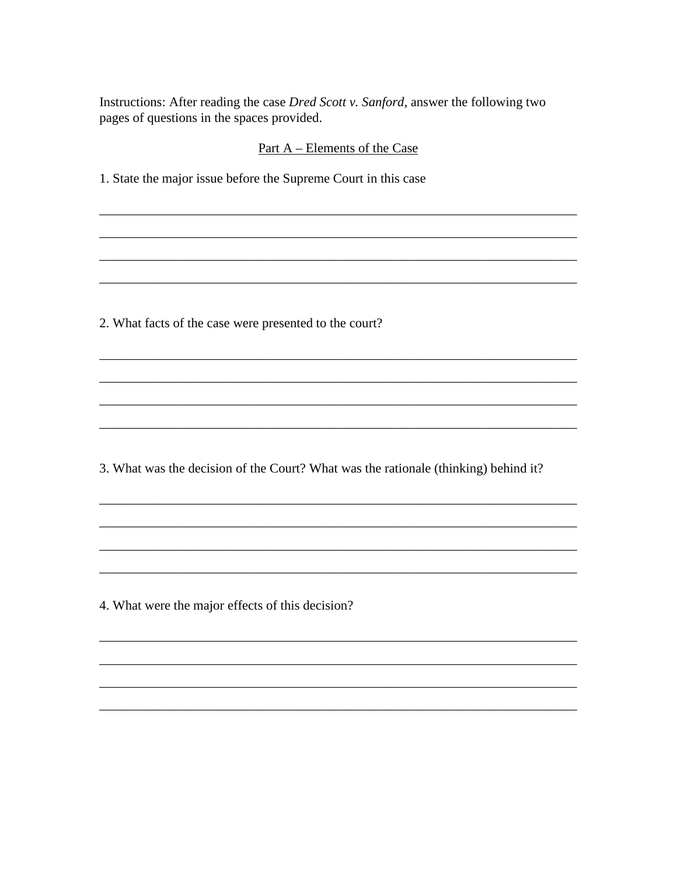Instructions: After reading the case *Dred Scott v. Sanford*, answer the following two pages of questions in the spaces provided.

## Part A – Elements of the Case

1. State the major issue before the Supreme Court in this case

2. What facts of the case were presented to the court?

3. What was the decision of the Court? What was the rationale (thinking) behind it?

4. What were the major effects of this decision?